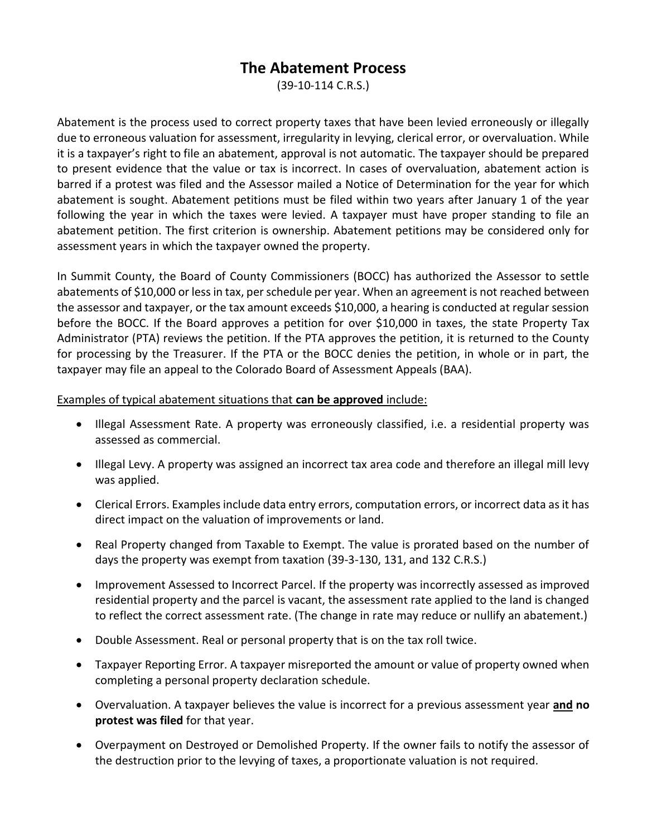# **The Abatement Process**

(39-10-114 C.R.S.)

Abatement is the process used to correct property taxes that have been levied erroneously or illegally due to erroneous valuation for assessment, irregularity in levying, clerical error, or overvaluation. While it is a taxpayer's right to file an abatement, approval is not automatic. The taxpayer should be prepared to present evidence that the value or tax is incorrect. In cases of overvaluation, abatement action is barred if a protest was filed and the Assessor mailed a Notice of Determination for the year for which abatement is sought. Abatement petitions must be filed within two years after January 1 of the year following the year in which the taxes were levied. A taxpayer must have proper standing to file an abatement petition. The first criterion is ownership. Abatement petitions may be considered only for assessment years in which the taxpayer owned the property.

In Summit County, the Board of County Commissioners (BOCC) has authorized the Assessor to settle abatements of \$10,000 or less in tax, per schedule per year. When an agreement is not reached between the assessor and taxpayer, or the tax amount exceeds \$10,000, a hearing is conducted at regular session before the BOCC. If the Board approves a petition for over \$10,000 in taxes, the state Property Tax Administrator (PTA) reviews the petition. If the PTA approves the petition, it is returned to the County for processing by the Treasurer. If the PTA or the BOCC denies the petition, in whole or in part, the taxpayer may file an appeal to the Colorado Board of Assessment Appeals (BAA).

Examples of typical abatement situations that **can be approved** include:

- Illegal Assessment Rate. A property was erroneously classified, i.e. a residential property was assessed as commercial.
- Illegal Levy. A property was assigned an incorrect tax area code and therefore an illegal mill levy was applied.
- Clerical Errors. Examples include data entry errors, computation errors, or incorrect data as it has direct impact on the valuation of improvements or land.
- Real Property changed from Taxable to Exempt. The value is prorated based on the number of days the property was exempt from taxation (39-3-130, 131, and 132 C.R.S.)
- Improvement Assessed to Incorrect Parcel. If the property was incorrectly assessed as improved residential property and the parcel is vacant, the assessment rate applied to the land is changed to reflect the correct assessment rate. (The change in rate may reduce or nullify an abatement.)
- Double Assessment. Real or personal property that is on the tax roll twice.
- Taxpayer Reporting Error. A taxpayer misreported the amount or value of property owned when completing a personal property declaration schedule.
- Overvaluation. A taxpayer believes the value is incorrect for a previous assessment year **and no protest was filed** for that year.
- Overpayment on Destroyed or Demolished Property. If the owner fails to notify the assessor of the destruction prior to the levying of taxes, a proportionate valuation is not required.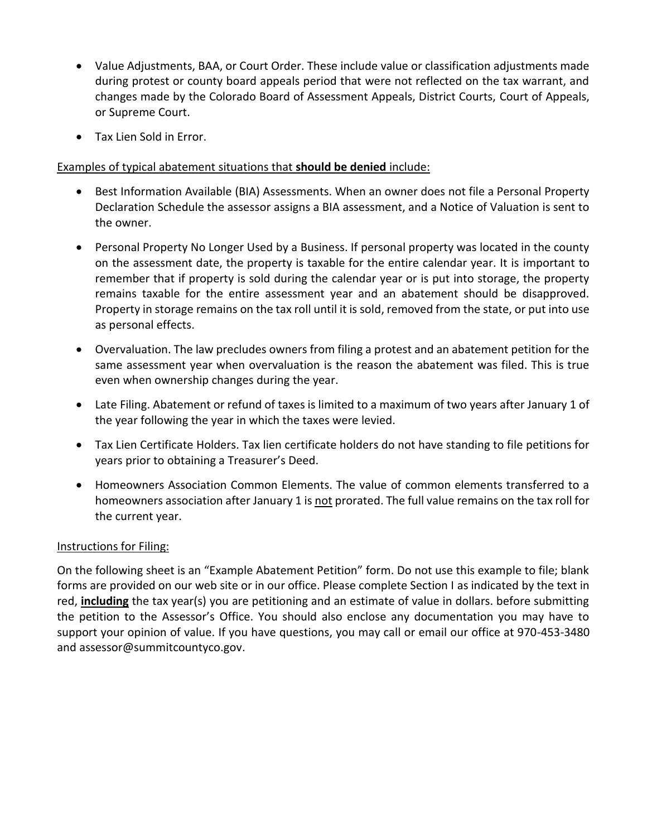- Value Adjustments, BAA, or Court Order. These include value or classification adjustments made during protest or county board appeals period that were not reflected on the tax warrant, and changes made by the Colorado Board of Assessment Appeals, District Courts, Court of Appeals, or Supreme Court.
- Tax Lien Sold in Error.

### Examples of typical abatement situations that **should be denied** include:

- Best Information Available (BIA) Assessments. When an owner does not file a Personal Property Declaration Schedule the assessor assigns a BIA assessment, and a Notice of Valuation is sent to the owner.
- Personal Property No Longer Used by a Business. If personal property was located in the county on the assessment date, the property is taxable for the entire calendar year. It is important to remember that if property is sold during the calendar year or is put into storage, the property remains taxable for the entire assessment year and an abatement should be disapproved. Property in storage remains on the tax roll until it is sold, removed from the state, or put into use as personal effects.
- Overvaluation. The law precludes owners from filing a protest and an abatement petition for the same assessment year when overvaluation is the reason the abatement was filed. This is true even when ownership changes during the year.
- Late Filing. Abatement or refund of taxes is limited to a maximum of two years after January 1 of the year following the year in which the taxes were levied.
- Tax Lien Certificate Holders. Tax lien certificate holders do not have standing to file petitions for years prior to obtaining a Treasurer's Deed.
- Homeowners Association Common Elements. The value of common elements transferred to a homeowners association after January 1 is not prorated. The full value remains on the tax roll for the current year.

#### Instructions for Filing:

On the following sheet is an "Example Abatement Petition" form. Do not use this example to file; blank forms are provided on our web site or in our office. Please complete Section I as indicated by the text in red, **including** the tax year(s) you are petitioning and an estimate of value in dollars. before submitting the petition to the Assessor's Office. You should also enclose any documentation you may have to support your opinion of value. If you have questions, you may call or email our office at 970-453-3480 and assessor@summitcountyco.gov.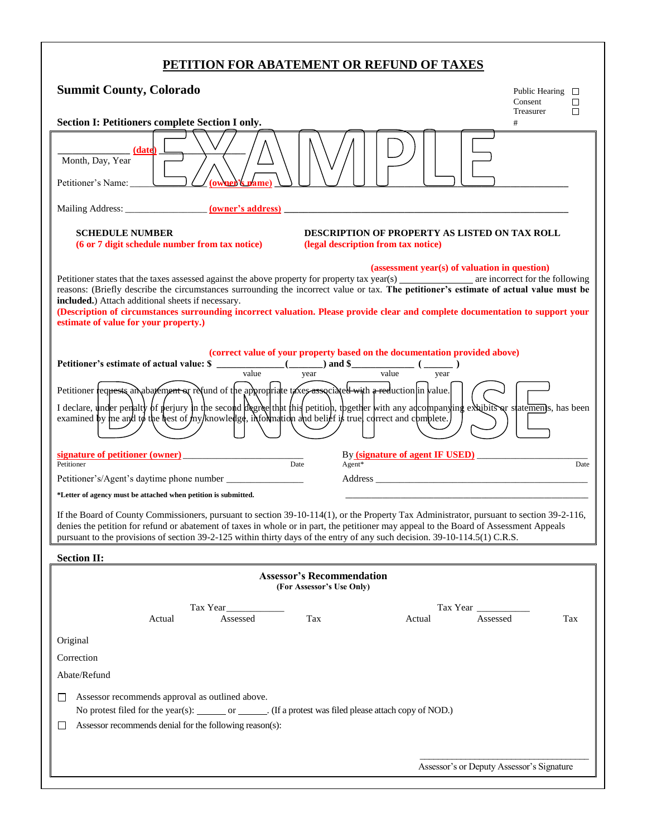## **PETITION FOR ABATEMENT OR REFUND OF TAXES**

| <b>Summit County, Colorado</b>                                                                                                                                                                                                                                                                                                                                                                                                                                                                                                                                             | Public Hearing $\Box$<br>Consent | П      |
|----------------------------------------------------------------------------------------------------------------------------------------------------------------------------------------------------------------------------------------------------------------------------------------------------------------------------------------------------------------------------------------------------------------------------------------------------------------------------------------------------------------------------------------------------------------------------|----------------------------------|--------|
| Section I: Petitioners complete Section I only.                                                                                                                                                                                                                                                                                                                                                                                                                                                                                                                            | Treasurer<br>#                   | $\Box$ |
| (date)<br>Month, Day, Year<br>Petitioner's Name:<br>(owner's name                                                                                                                                                                                                                                                                                                                                                                                                                                                                                                          |                                  |        |
|                                                                                                                                                                                                                                                                                                                                                                                                                                                                                                                                                                            |                                  |        |
| <b>DESCRIPTION OF PROPERTY AS LISTED ON TAX ROLL</b><br><b>SCHEDULE NUMBER</b><br>(6 or 7 digit schedule number from tax notice)<br>(legal description from tax notice)                                                                                                                                                                                                                                                                                                                                                                                                    |                                  |        |
| (assessment year(s) of valuation in question)<br>Petitioner states that the taxes assessed against the above property for property tax year(s) _________________ are incorrect for the following<br>reasons: (Briefly describe the circumstances surrounding the incorrect value or tax. The petitioner's estimate of actual value must be<br>included.) Attach additional sheets if necessary.<br>(Description of circumstances surrounding incorrect valuation. Please provide clear and complete documentation to support your<br>estimate of value for your property.) |                                  |        |
| (correct value of your property based on the documentation provided above)<br>Petitioner's estimate of actual value: \$ ___________(____) and \$ ________( ____)<br>$\frac{1}{\text{value}}$ $\frac{1}{\text{value}}$<br>value<br>year<br>year                                                                                                                                                                                                                                                                                                                             |                                  |        |
| Petitioner requests an abatement or refund of the appropriate taxes associated with a reduction in value.<br>I declare, under penalty of perjury in the second degree that this petition, theether with any adcompanying exhibits or statements, has been<br>examined by me and to the best of my/knowledge, information and belief is truel correct and complete.                                                                                                                                                                                                         |                                  |        |
| By <i>(signature of agent IF USED)</i><br>signature of petitioner (owner)<br>Petitioner<br>Date<br>$Agent*$                                                                                                                                                                                                                                                                                                                                                                                                                                                                |                                  | Date   |
|                                                                                                                                                                                                                                                                                                                                                                                                                                                                                                                                                                            |                                  |        |
| *Letter of agency must be attached when petition is submitted.<br>If the Board of County Commissioners, pursuant to section 39-10-114(1), or the Property Tax Administrator, pursuant to section 39-2-116,<br>denies the petition for refund or abatement of taxes in whole or in part, the petitioner may appeal to the Board of Assessment Appeals<br>pursuant to the provisions of section 39-2-125 within thirty days of the entry of any such decision. 39-10-114.5(1) C.R.S.                                                                                         |                                  |        |
| <b>Section II:</b>                                                                                                                                                                                                                                                                                                                                                                                                                                                                                                                                                         |                                  |        |
| <b>Assessor's Recommendation</b><br>(For Assessor's Use Only)                                                                                                                                                                                                                                                                                                                                                                                                                                                                                                              |                                  |        |
| Tax Year<br>Tax Year<br>Tax<br>Assessed<br>Actual<br>Assessed<br>Actual                                                                                                                                                                                                                                                                                                                                                                                                                                                                                                    |                                  | Tax    |
| Original                                                                                                                                                                                                                                                                                                                                                                                                                                                                                                                                                                   |                                  |        |
| Correction                                                                                                                                                                                                                                                                                                                                                                                                                                                                                                                                                                 |                                  |        |
| Abate/Refund                                                                                                                                                                                                                                                                                                                                                                                                                                                                                                                                                               |                                  |        |
| Assessor recommends approval as outlined above.<br>П<br>No protest filed for the year(s): ________ or _______. (If a protest was filed please attach copy of NOD.)<br>Assessor recommends denial for the following reason(s):<br>$\mathbf{L}$                                                                                                                                                                                                                                                                                                                              |                                  |        |
| Assessor's or Deputy Assessor's Signature                                                                                                                                                                                                                                                                                                                                                                                                                                                                                                                                  |                                  |        |